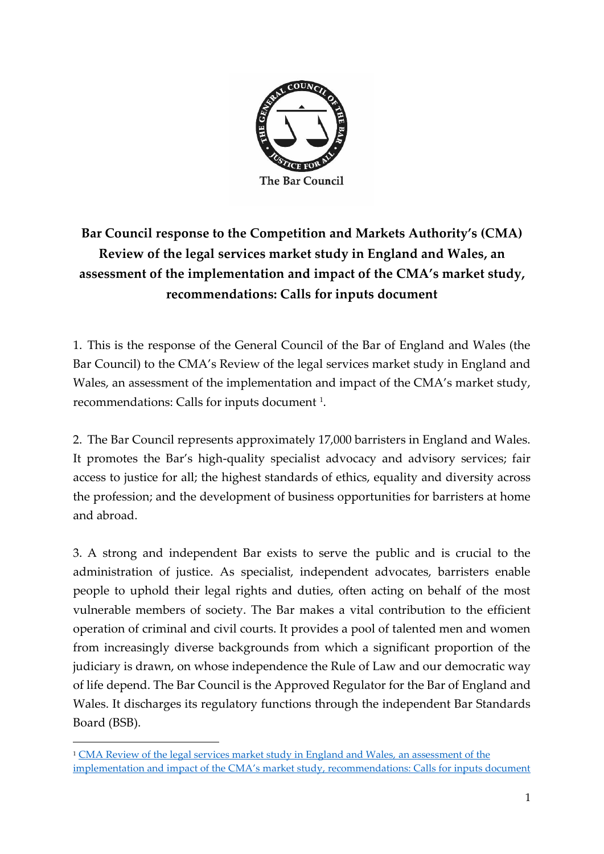

# **Bar Council response to the Competition and Markets Authority's (CMA) Review of the legal services market study in England and Wales, an assessment of the implementation and impact of the CMA's market study, recommendations: Calls for inputs document**

1. This is the response of the General Council of the Bar of England and Wales (the Bar Council) to the CMA's Review of the legal services market study in England and Wales, an assessment of the implementation and impact of the CMA's market study, recommendations: Calls for inputs document <sup>1</sup>.

2. The Bar Council represents approximately 17,000 barristers in England and Wales. It promotes the Bar's high-quality specialist advocacy and advisory services; fair access to justice for all; the highest standards of ethics, equality and diversity across the profession; and the development of business opportunities for barristers at home and abroad.

3. A strong and independent Bar exists to serve the public and is crucial to the administration of justice. As specialist, independent advocates, barristers enable people to uphold their legal rights and duties, often acting on behalf of the most vulnerable members of society. The Bar makes a vital contribution to the efficient operation of criminal and civil courts. It provides a pool of talented men and women from increasingly diverse backgrounds from which a significant proportion of the judiciary is drawn, on whose independence the Rule of Law and our democratic way of life depend. The Bar Council is the Approved Regulator for the Bar of England and Wales. It discharges its regulatory functions through the independent Bar Standards Board (BSB).

<sup>1</sup> [CMA Review of the legal services market study in England and Wales, an assessment of the](https://assets.publishing.service.gov.uk/media/5f57aab5d3bf7f7238f22f87/CFI_-_Legal_services_MS_Review_090920.pdf)  implementation and impact of the CMA's [market study, recommendations: Calls for inputs document](https://assets.publishing.service.gov.uk/media/5f57aab5d3bf7f7238f22f87/CFI_-_Legal_services_MS_Review_090920.pdf)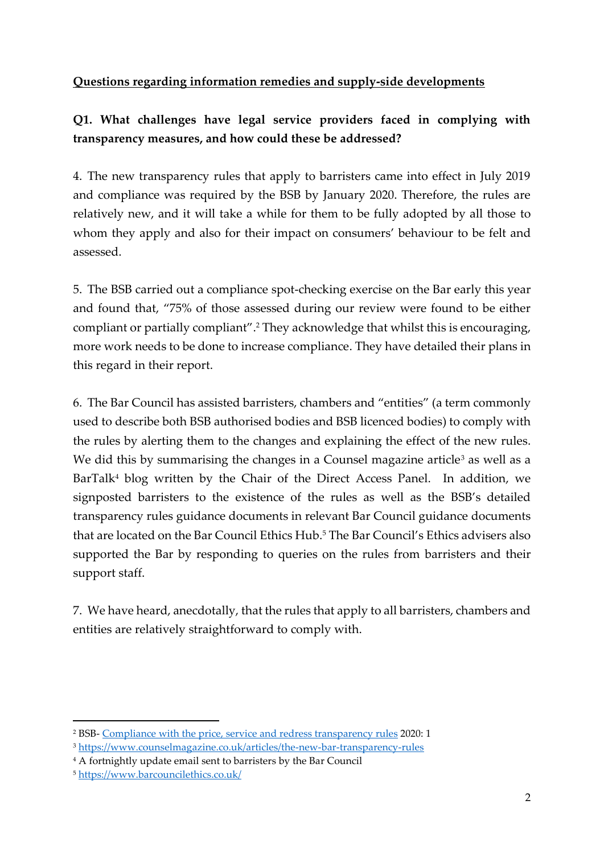### **Questions regarding information remedies and supply-side developments**

### **Q1. What challenges have legal service providers faced in complying with transparency measures, and how could these be addressed?**

4. The new transparency rules that apply to barristers came into effect in July 2019 and compliance was required by the BSB by January 2020. Therefore, the rules are relatively new, and it will take a while for them to be fully adopted by all those to whom they apply and also for their impact on consumers' behaviour to be felt and assessed.

5. The BSB carried out a compliance spot-checking exercise on the Bar early this year and found that, "75% of those assessed during our review were found to be either compliant or partially compliant". <sup>2</sup> They acknowledge that whilst this is encouraging, more work needs to be done to increase compliance. They have detailed their plans in this regard in their report.

6. The Bar Council has assisted barristers, chambers and "entities" (a term commonly used to describe both BSB authorised bodies and BSB licenced bodies) to comply with the rules by alerting them to the changes and explaining the effect of the new rules. We did this by summarising the changes in a Counsel magazine article<sup>3</sup> as well as a BarTalk<sup>4</sup> blog written by the Chair of the Direct Access Panel. In addition, we signposted barristers to the existence of the rules as well as the BSB's detailed transparency rules guidance documents in relevant Bar Council guidance documents that are located on the Bar Council Ethics Hub.<sup>5</sup> The Bar Council's Ethics advisers also supported the Bar by responding to queries on the rules from barristers and their support staff.

7. We have heard, anecdotally, that the rules that apply to all barristers, chambers and entities are relatively straightforward to comply with.

<sup>2</sup> BSB- [Compliance with the price, service and redress transparency rules](https://www.barstandardsboard.org.uk/uploads/assets/3359c36e-ef3e-449d-883e18c5ebeabad6/202006-External-Transparency-spot-check-report.pdf) 2020: 1

<sup>3</sup> <https://www.counselmagazine.co.uk/articles/the-new-bar-transparency-rules>

<sup>4</sup> A fortnightly update email sent to barristers by the Bar Council

<sup>5</sup> <https://www.barcouncilethics.co.uk/>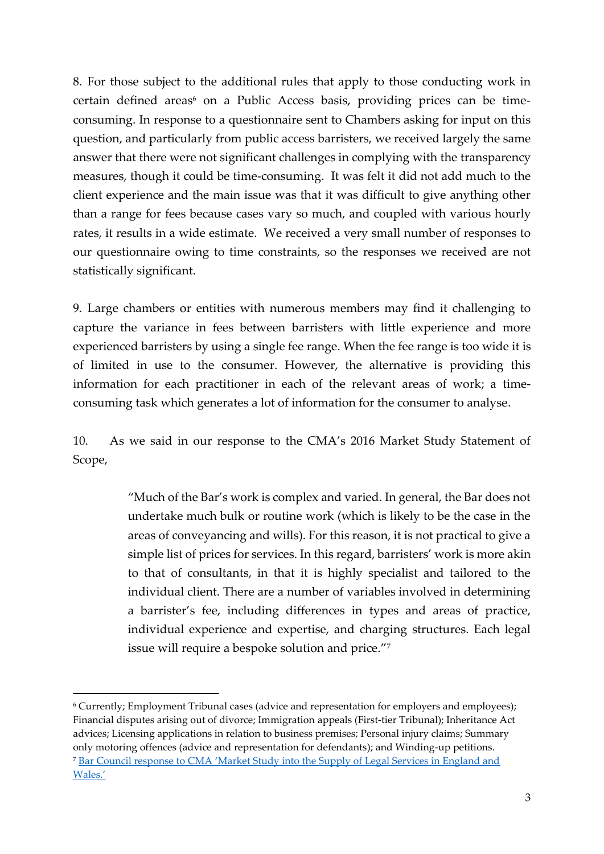8. For those subject to the additional rules that apply to those conducting work in certain defined areas<sup>6</sup> on a Public Access basis, providing prices can be timeconsuming. In response to a questionnaire sent to Chambers asking for input on this question, and particularly from public access barristers, we received largely the same answer that there were not significant challenges in complying with the transparency measures, though it could be time-consuming. It was felt it did not add much to the client experience and the main issue was that it was difficult to give anything other than a range for fees because cases vary so much, and coupled with various hourly rates, it results in a wide estimate. We received a very small number of responses to our questionnaire owing to time constraints, so the responses we received are not statistically significant.

9. Large chambers or entities with numerous members may find it challenging to capture the variance in fees between barristers with little experience and more experienced barristers by using a single fee range. When the fee range is too wide it is of limited in use to the consumer. However, the alternative is providing this information for each practitioner in each of the relevant areas of work; a timeconsuming task which generates a lot of information for the consumer to analyse.

10. As we said in our response to the CMA's 2016 Market Study Statement of Scope,

> "Much of the Bar's work is complex and varied. In general, the Bar does not undertake much bulk or routine work (which is likely to be the case in the areas of conveyancing and wills). For this reason, it is not practical to give a simple list of prices for services. In this regard, barristers' work is more akin to that of consultants, in that it is highly specialist and tailored to the individual client. There are a number of variables involved in determining a barrister's fee, including differences in types and areas of practice, individual experience and expertise, and charging structures. Each legal issue will require a bespoke solution and price."<sup>7</sup>

<sup>6</sup> Currently; Employment Tribunal cases (advice and representation for employers and employees); Financial disputes arising out of divorce; Immigration appeals (First-tier Tribunal); Inheritance Act advices; Licensing applications in relation to business premises; Personal injury claims; Summary only motoring offences (advice and representation for defendants); and Winding-up petitions. <sup>7</sup> [Bar Council response to CMA 'Market Study into the Supply of Legal Services in England and](https://www.barcouncil.org.uk/uploads/assets/5a0b3984-152d-44b6-89e5236d2d6e90d6/legalservicesmarketstudy.pdf)  [Wales.'](https://www.barcouncil.org.uk/uploads/assets/5a0b3984-152d-44b6-89e5236d2d6e90d6/legalservicesmarketstudy.pdf)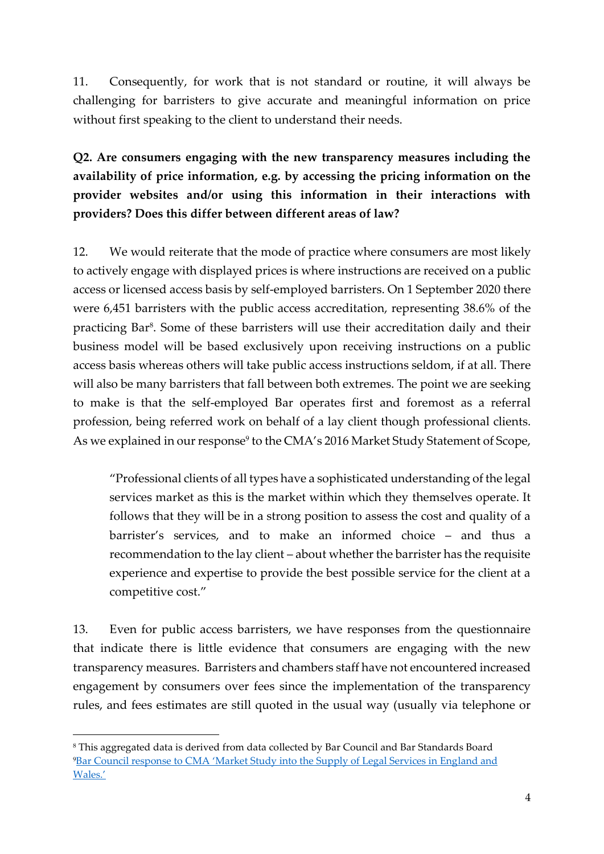11. Consequently, for work that is not standard or routine, it will always be challenging for barristers to give accurate and meaningful information on price without first speaking to the client to understand their needs.

**Q2. Are consumers engaging with the new transparency measures including the availability of price information, e.g. by accessing the pricing information on the provider websites and/or using this information in their interactions with providers? Does this differ between different areas of law?** 

12. We would reiterate that the mode of practice where consumers are most likely to actively engage with displayed prices is where instructions are received on a public access or licensed access basis by self-employed barristers. On 1 September 2020 there were 6,451 barristers with the public access accreditation, representing 38.6% of the practicing Bar<sup>8</sup>. Some of these barristers will use their accreditation daily and their business model will be based exclusively upon receiving instructions on a public access basis whereas others will take public access instructions seldom, if at all. There will also be many barristers that fall between both extremes. The point we are seeking to make is that the self-employed Bar operates first and foremost as a referral profession, being referred work on behalf of a lay client though professional clients. As we explained in our response<sup>9</sup> to the CMA's 2016 Market Study Statement of Scope,

"Professional clients of all types have a sophisticated understanding of the legal services market as this is the market within which they themselves operate. It follows that they will be in a strong position to assess the cost and quality of a barrister's services, and to make an informed choice – and thus a recommendation to the lay client – about whether the barrister has the requisite experience and expertise to provide the best possible service for the client at a competitive cost."

13. Even for public access barristers, we have responses from the questionnaire that indicate there is little evidence that consumers are engaging with the new transparency measures. Barristers and chambers staff have not encountered increased engagement by consumers over fees since the implementation of the transparency rules, and fees estimates are still quoted in the usual way (usually via telephone or

<sup>8</sup> This aggregated data is derived from data collected by Bar Council and Bar Standards Board <sup>9</sup>[Bar Council response to CMA 'Market Study into the Supply of Legal Services in Eng](https://www.barcouncil.org.uk/uploads/assets/5a0b3984-152d-44b6-89e5236d2d6e90d6/legalservicesmarketstudy.pdf)land and [Wales.'](https://www.barcouncil.org.uk/uploads/assets/5a0b3984-152d-44b6-89e5236d2d6e90d6/legalservicesmarketstudy.pdf)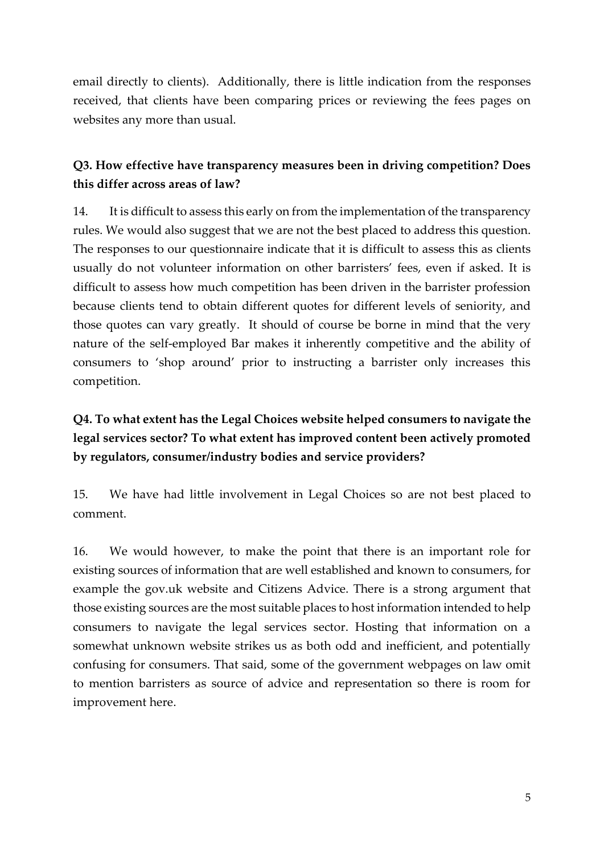email directly to clients). Additionally, there is little indication from the responses received, that clients have been comparing prices or reviewing the fees pages on websites any more than usual.

### **Q3. How effective have transparency measures been in driving competition? Does this differ across areas of law?**

14. It is difficult to assess this early on from the implementation of the transparency rules. We would also suggest that we are not the best placed to address this question. The responses to our questionnaire indicate that it is difficult to assess this as clients usually do not volunteer information on other barristers' fees, even if asked. It is difficult to assess how much competition has been driven in the barrister profession because clients tend to obtain different quotes for different levels of seniority, and those quotes can vary greatly. It should of course be borne in mind that the very nature of the self-employed Bar makes it inherently competitive and the ability of consumers to 'shop around' prior to instructing a barrister only increases this competition.

# **Q4. To what extent has the Legal Choices website helped consumers to navigate the legal services sector? To what extent has improved content been actively promoted by regulators, consumer/industry bodies and service providers?**

15. We have had little involvement in Legal Choices so are not best placed to comment.

16. We would however, to make the point that there is an important role for existing sources of information that are well established and known to consumers, for example the gov.uk website and Citizens Advice. There is a strong argument that those existing sources are the most suitable places to host information intended to help consumers to navigate the legal services sector. Hosting that information on a somewhat unknown website strikes us as both odd and inefficient, and potentially confusing for consumers. That said, some of the government webpages on law omit to mention barristers as source of advice and representation so there is room for improvement here.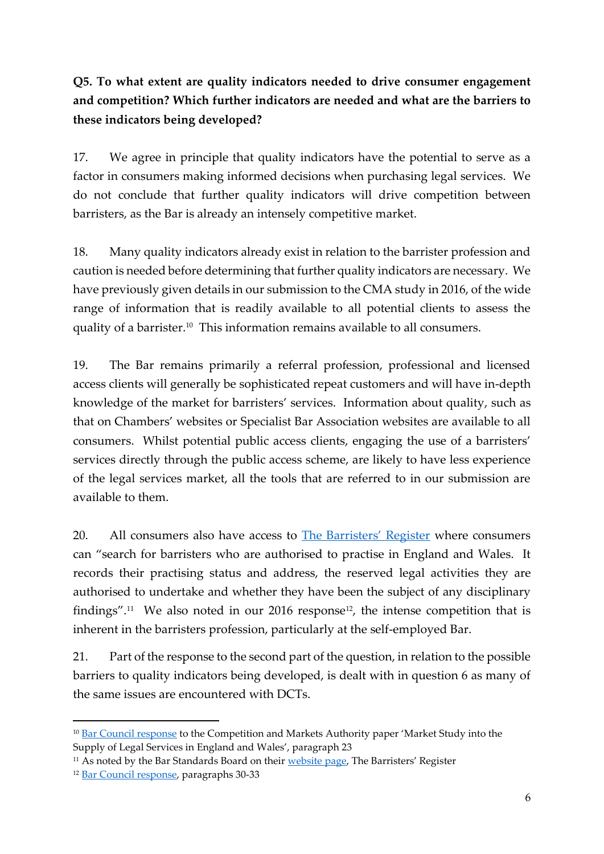# **Q5. To what extent are quality indicators needed to drive consumer engagement and competition? Which further indicators are needed and what are the barriers to these indicators being developed?**

17. We agree in principle that quality indicators have the potential to serve as a factor in consumers making informed decisions when purchasing legal services. We do not conclude that further quality indicators will drive competition between barristers, as the Bar is already an intensely competitive market.

18. Many quality indicators already exist in relation to the barrister profession and caution is needed before determining that further quality indicators are necessary. We have previously given details in our submission to the CMA study in 2016, of the wide range of information that is readily available to all potential clients to assess the quality of a barrister.<sup>10</sup> This information remains available to all consumers.

19. The Bar remains primarily a referral profession, professional and licensed access clients will generally be sophisticated repeat customers and will have in-depth knowledge of the market for barristers' services. Information about quality, such as that on Chambers' websites or Specialist Bar Association websites are available to all consumers. Whilst potential public access clients, engaging the use of a barristers' services directly through the public access scheme, are likely to have less experience of the legal services market, all the tools that are referred to in our submission are available to them.

20. All consumers also have access to **[The Barristers' Register](https://www.barstandardsboard.org.uk/for-the-public/search-a-barristers-record/the-barristers-register.html)** where consumers can "search for barristers who are authorised to practise in England and Wales. It records their practising status and address, the reserved legal activities they are authorised to undertake and whether they have been the subject of any disciplinary findings".<sup>11</sup> We also noted in our 2016 response<sup>12</sup>, the intense competition that is inherent in the barristers profession, particularly at the self-employed Bar.

21. Part of the response to the second part of the question, in relation to the possible barriers to quality indicators being developed, is dealt with in question 6 as many of the same issues are encountered with DCTs.

<sup>&</sup>lt;sup>10</sup> [Bar Council response](https://www.barcouncil.org.uk/uploads/assets/5a0b3984-152d-44b6-89e5236d2d6e90d6/legalservicesmarketstudy.pdf) to the Competition and Markets Authority paper 'Market Study into the Supply of Legal Services in England and Wales', paragraph 23

<sup>&</sup>lt;sup>11</sup> As noted by the Bar Standards Board on their [website page](https://www.barstandardsboard.org.uk/for-the-public/search-a-barristers-record/the-barristers-register.html), The Barristers' Register

<sup>12</sup> [Bar Council response,](https://www.barcouncil.org.uk/uploads/assets/5a0b3984-152d-44b6-89e5236d2d6e90d6/legalservicesmarketstudy.pdf) paragraphs 30-33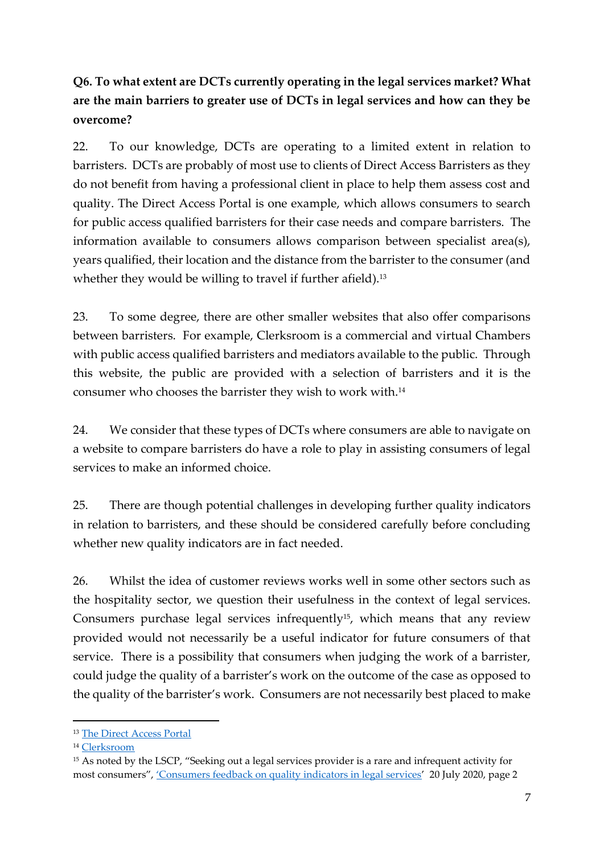# **Q6. To what extent are DCTs currently operating in the legal services market? What are the main barriers to greater use of DCTs in legal services and how can they be overcome?**

22. To our knowledge, DCTs are operating to a limited extent in relation to barristers. DCTs are probably of most use to clients of Direct Access Barristers as they do not benefit from having a professional client in place to help them assess cost and quality. The Direct Access Portal is one example, which allows consumers to search for public access qualified barristers for their case needs and compare barristers. The information available to consumers allows comparison between specialist area(s), years qualified, their location and the distance from the barrister to the consumer (and whether they would be willing to travel if further afield).<sup>13</sup>

23. To some degree, there are other smaller websites that also offer comparisons between barristers. For example, Clerksroom is a commercial and virtual Chambers with public access qualified barristers and mediators available to the public. Through this website, the public are provided with a selection of barristers and it is the consumer who chooses the barrister they wish to work with.<sup>14</sup>

24. We consider that these types of DCTs where consumers are able to navigate on a website to compare barristers do have a role to play in assisting consumers of legal services to make an informed choice.

25. There are though potential challenges in developing further quality indicators in relation to barristers, and these should be considered carefully before concluding whether new quality indicators are in fact needed.

26. Whilst the idea of customer reviews works well in some other sectors such as the hospitality sector, we question their usefulness in the context of legal services. Consumers purchase legal services infrequently<sup>15</sup>, which means that any review provided would not necessarily be a useful indicator for future consumers of that service. There is a possibility that consumers when judging the work of a barrister, could judge the quality of a barrister's work on the outcome of the case as opposed to the quality of the barrister's work. Consumers are not necessarily best placed to make

<sup>13</sup> [The Direct Access Portal](https://www.directaccessportal.co.uk/)

<sup>14</sup> [Clerksroom](https://www.clerksroomdirect.com/)

<sup>&</sup>lt;sup>15</sup> As noted by the LSCP, "Seeking out a legal services provider is a rare and infrequent activity for most consumers", ['Consumers feedback on quality indicators in legal services'](https://www.legalservicesconsumerpanel.org.uk/wp-content/uploads/2020/07/2020-07-15-LSCP-Quality-Report-FINAL.pdf) 20 July 2020, page 2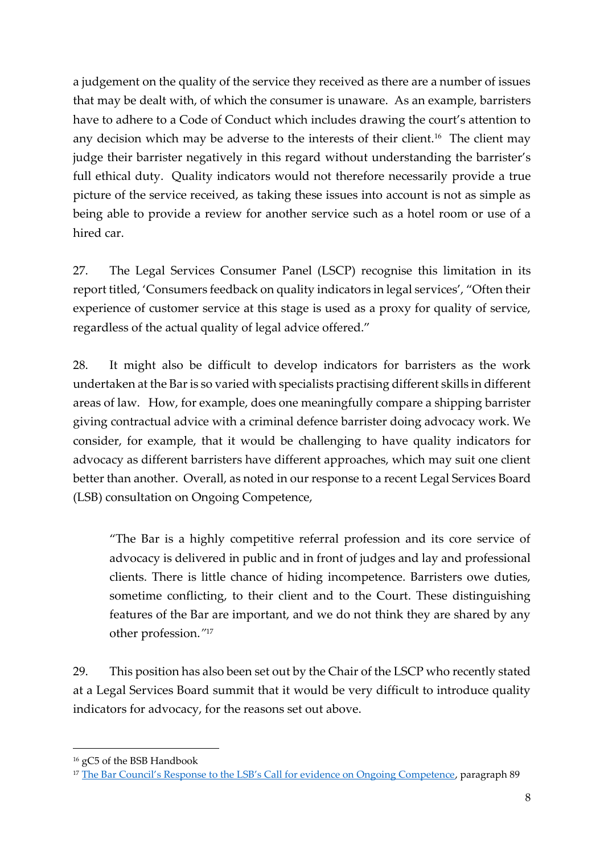a judgement on the quality of the service they received as there are a number of issues that may be dealt with, of which the consumer is unaware. As an example, barristers have to adhere to a Code of Conduct which includes drawing the court's attention to any decision which may be adverse to the interests of their client.<sup>16</sup> The client may judge their barrister negatively in this regard without understanding the barrister's full ethical duty. Quality indicators would not therefore necessarily provide a true picture of the service received, as taking these issues into account is not as simple as being able to provide a review for another service such as a hotel room or use of a hired car.

27. The Legal Services Consumer Panel (LSCP) recognise this limitation in its report titled, 'Consumers feedback on quality indicators in legal services', "Often their experience of customer service at this stage is used as a proxy for quality of service, regardless of the actual quality of legal advice offered."

28. It might also be difficult to develop indicators for barristers as the work undertaken at the Bar is so varied with specialists practising different skills in different areas of law. How, for example, does one meaningfully compare a shipping barrister giving contractual advice with a criminal defence barrister doing advocacy work. We consider, for example, that it would be challenging to have quality indicators for advocacy as different barristers have different approaches, which may suit one client better than another. Overall, as noted in our response to a recent Legal Services Board (LSB) consultation on Ongoing Competence,

"The Bar is a highly competitive referral profession and its core service of advocacy is delivered in public and in front of judges and lay and professional clients. There is little chance of hiding incompetence. Barristers owe duties, sometime conflicting, to their client and to the Court. These distinguishing features of the Bar are important, and we do not think they are shared by any other profession.*"* 17

29. This position has also been set out by the Chair of the LSCP who recently stated at a Legal Services Board summit that it would be very difficult to introduce quality indicators for advocacy, for the reasons set out above.

<sup>16</sup> gC5 of the BSB Handbook

<sup>&</sup>lt;sup>17</sup> [The Bar Council's Response to the LSB's Call for evidence on Ongoing Competence](https://www.barcouncil.org.uk/uploads/assets/cc4d10c9-34d4-4970-886780b85d900364/LSB-Ongoing-Competence-consultation-response.pdf), paragraph 89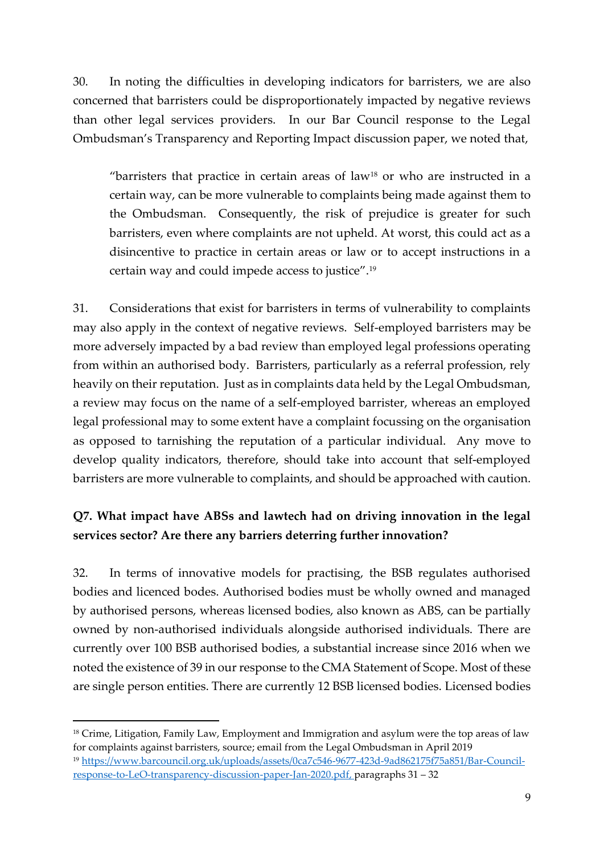30. In noting the difficulties in developing indicators for barristers, we are also concerned that barristers could be disproportionately impacted by negative reviews than other legal services providers. In our Bar Council response to the Legal Ombudsman's Transparency and Reporting Impact discussion paper, we noted that,

"barristers that practice in certain areas of law<sup>18</sup> or who are instructed in a certain way, can be more vulnerable to complaints being made against them to the Ombudsman. Consequently, the risk of prejudice is greater for such barristers, even where complaints are not upheld. At worst, this could act as a disincentive to practice in certain areas or law or to accept instructions in a certain way and could impede access to justice".<sup>19</sup>

31. Considerations that exist for barristers in terms of vulnerability to complaints may also apply in the context of negative reviews. Self-employed barristers may be more adversely impacted by a bad review than employed legal professions operating from within an authorised body. Barristers, particularly as a referral profession, rely heavily on their reputation. Just as in complaints data held by the Legal Ombudsman, a review may focus on the name of a self-employed barrister, whereas an employed legal professional may to some extent have a complaint focussing on the organisation as opposed to tarnishing the reputation of a particular individual. Any move to develop quality indicators, therefore, should take into account that self-employed barristers are more vulnerable to complaints, and should be approached with caution.

### **Q7. What impact have ABSs and lawtech had on driving innovation in the legal services sector? Are there any barriers deterring further innovation?**

32. In terms of innovative models for practising, the BSB regulates authorised bodies and licenced bodes. Authorised bodies must be wholly owned and managed by authorised persons, whereas licensed bodies, also known as ABS, can be partially owned by non-authorised individuals alongside authorised individuals. There are currently over 100 BSB authorised bodies, a substantial increase since 2016 when we noted the existence of 39 in our response to the CMA Statement of Scope. Most of these are single person entities. There are currently 12 BSB licensed bodies. Licensed bodies

<sup>&</sup>lt;sup>18</sup> Crime, Litigation, Family Law, Employment and Immigration and asylum were the top areas of law for complaints against barristers, source; email from the Legal Ombudsman in April 2019 <sup>19</sup> [https://www.barcouncil.org.uk/uploads/assets/0ca7c546-9677-423d-9ad862175f75a851/Bar-Council](https://www.barcouncil.org.uk/uploads/assets/0ca7c546-9677-423d-9ad862175f75a851/Bar-Council-response-to-LeO-transparency-discussion-paper-Jan-2020.pdf)[response-to-LeO-transparency-discussion-paper-Jan-2020.pdf,](https://www.barcouncil.org.uk/uploads/assets/0ca7c546-9677-423d-9ad862175f75a851/Bar-Council-response-to-LeO-transparency-discussion-paper-Jan-2020.pdf) paragraphs 31 – 32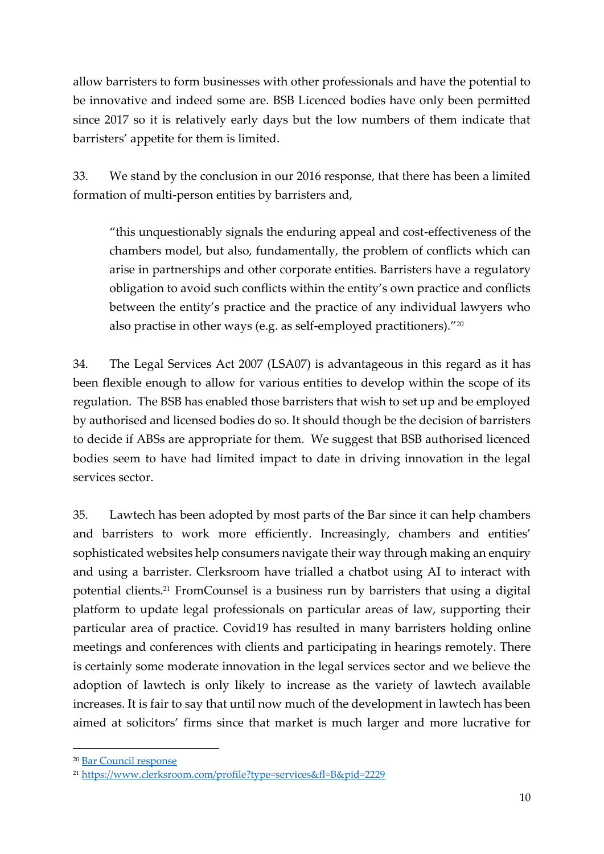allow barristers to form businesses with other professionals and have the potential to be innovative and indeed some are. BSB Licenced bodies have only been permitted since 2017 so it is relatively early days but the low numbers of them indicate that barristers' appetite for them is limited.

33. We stand by the conclusion in our 2016 response, that there has been a limited formation of multi-person entities by barristers and,

"this unquestionably signals the enduring appeal and cost-effectiveness of the chambers model, but also, fundamentally, the problem of conflicts which can arise in partnerships and other corporate entities. Barristers have a regulatory obligation to avoid such conflicts within the entity's own practice and conflicts between the entity's practice and the practice of any individual lawyers who also practise in other ways (e.g. as self-employed practitioners)."<sup>20</sup>

34. The Legal Services Act 2007 (LSA07) is advantageous in this regard as it has been flexible enough to allow for various entities to develop within the scope of its regulation. The BSB has enabled those barristers that wish to set up and be employed by authorised and licensed bodies do so. It should though be the decision of barristers to decide if ABSs are appropriate for them. We suggest that BSB authorised licenced bodies seem to have had limited impact to date in driving innovation in the legal services sector.

35. Lawtech has been adopted by most parts of the Bar since it can help chambers and barristers to work more efficiently. Increasingly, chambers and entities' sophisticated websites help consumers navigate their way through making an enquiry and using a barrister. Clerksroom have trialled a chatbot using AI to interact with potential clients.<sup>21</sup> FromCounsel is a business run by barristers that using a digital platform to update legal professionals on particular areas of law, supporting their particular area of practice. Covid19 has resulted in many barristers holding online meetings and conferences with clients and participating in hearings remotely. There is certainly some moderate innovation in the legal services sector and we believe the adoption of lawtech is only likely to increase as the variety of lawtech available increases. It is fair to say that until now much of the development in lawtech has been aimed at solicitors' firms since that market is much larger and more lucrative for

<sup>20</sup> [Bar Council response](https://www.barcouncil.org.uk/uploads/assets/5a0b3984-152d-44b6-89e5236d2d6e90d6/legalservicesmarketstudy.pdf)

<sup>21</sup> <https://www.clerksroom.com/profile?type=services&fl=B&pid=2229>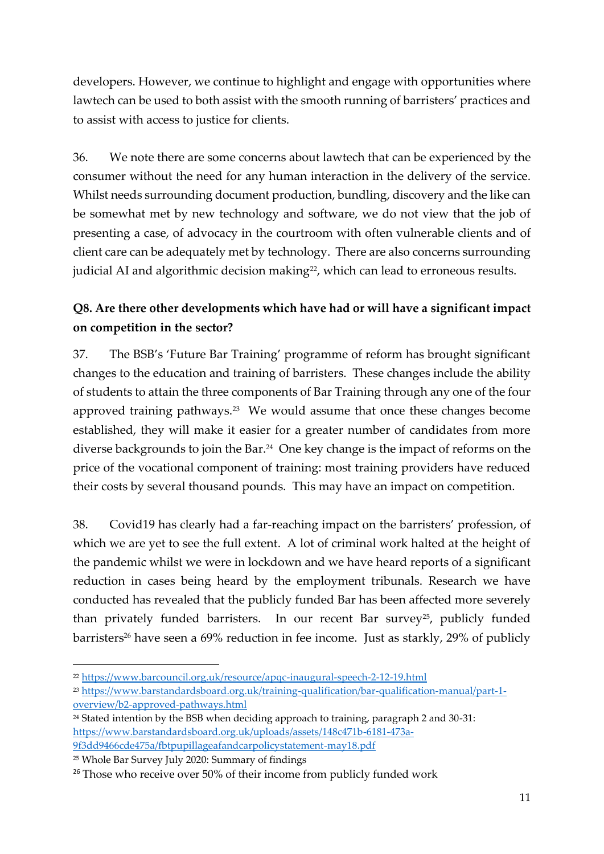developers. However, we continue to highlight and engage with opportunities where lawtech can be used to both assist with the smooth running of barristers' practices and to assist with access to justice for clients.

36. We note there are some concerns about lawtech that can be experienced by the consumer without the need for any human interaction in the delivery of the service. Whilst needs surrounding document production, bundling, discovery and the like can be somewhat met by new technology and software, we do not view that the job of presenting a case, of advocacy in the courtroom with often vulnerable clients and of client care can be adequately met by technology. There are also concerns surrounding judicial AI and algorithmic decision making<sup>22</sup>, which can lead to erroneous results.

### **Q8. Are there other developments which have had or will have a significant impact on competition in the sector?**

37. The BSB's 'Future Bar Training' programme of reform has brought significant changes to the education and training of barristers. These changes include the ability of students to attain the three components of Bar Training through any one of the four approved training pathways.<sup>23</sup> We would assume that once these changes become established, they will make it easier for a greater number of candidates from more diverse backgrounds to join the Bar.<sup>24</sup> One key change is the impact of reforms on the price of the vocational component of training: most training providers have reduced their costs by several thousand pounds. This may have an impact on competition.

38. Covid19 has clearly had a far-reaching impact on the barristers' profession, of which we are yet to see the full extent. A lot of criminal work halted at the height of the pandemic whilst we were in lockdown and we have heard reports of a significant reduction in cases being heard by the employment tribunals. Research we have conducted has revealed that the publicly funded Bar has been affected more severely than privately funded barristers. In our recent Bar survey<sup>25</sup>, publicly funded barristers<sup>26</sup> have seen a 69% reduction in fee income. Just as starkly, 29% of publicly

<sup>22</sup> <https://www.barcouncil.org.uk/resource/apqc-inaugural-speech-2-12-19.html>

<sup>23</sup> [https://www.barstandardsboard.org.uk/training-qualification/bar-qualification-manual/part-1](https://www.barstandardsboard.org.uk/training-qualification/bar-qualification-manual/part-1-overview/b2-approved-pathways.html) [overview/b2-approved-pathways.html](https://www.barstandardsboard.org.uk/training-qualification/bar-qualification-manual/part-1-overview/b2-approved-pathways.html)

<sup>24</sup> Stated intention by the BSB when deciding approach to training, paragraph 2 and 30-31: [https://www.barstandardsboard.org.uk/uploads/assets/148c471b-6181-473a-](https://www.barstandardsboard.org.uk/uploads/assets/148c471b-6181-473a-9f3dd9466cde475a/fbtpupillageafandcarpolicystatement-may18.pdf)[9f3dd9466cde475a/fbtpupillageafandcarpolicystatement-may18.pdf](https://www.barstandardsboard.org.uk/uploads/assets/148c471b-6181-473a-9f3dd9466cde475a/fbtpupillageafandcarpolicystatement-may18.pdf)

<sup>25</sup> Whole Bar Survey July 2020: Summary of findings

<sup>&</sup>lt;sup>26</sup> Those who receive over 50% of their income from publicly funded work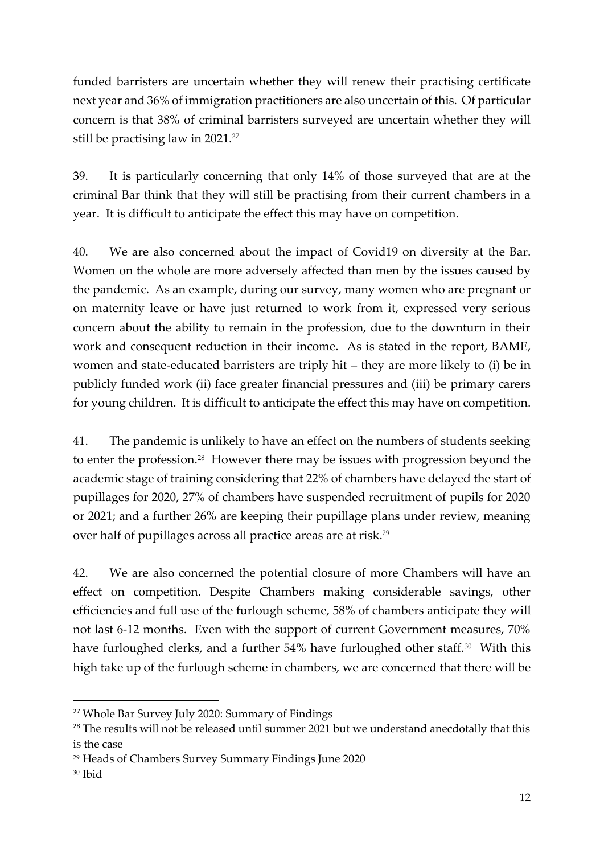funded barristers are uncertain whether they will renew their practising certificate next year and 36% of immigration practitioners are also uncertain of this. Of particular concern is that 38% of criminal barristers surveyed are uncertain whether they will still be practising law in 2021.<sup>27</sup>

39. It is particularly concerning that only 14% of those surveyed that are at the criminal Bar think that they will still be practising from their current chambers in a year. It is difficult to anticipate the effect this may have on competition.

40. We are also concerned about the impact of Covid19 on diversity at the Bar. Women on the whole are more adversely affected than men by the issues caused by the pandemic. As an example, during our survey, many women who are pregnant or on maternity leave or have just returned to work from it, expressed very serious concern about the ability to remain in the profession, due to the downturn in their work and consequent reduction in their income. As is stated in the report, BAME, women and state-educated barristers are triply hit – they are more likely to (i) be in publicly funded work (ii) face greater financial pressures and (iii) be primary carers for young children. It is difficult to anticipate the effect this may have on competition.

41. The pandemic is unlikely to have an effect on the numbers of students seeking to enter the profession.<sup>28</sup> However there may be issues with progression beyond the academic stage of training considering that 22% of chambers have delayed the start of pupillages for 2020, 27% of chambers have suspended recruitment of pupils for 2020 or 2021; and a further 26% are keeping their pupillage plans under review, meaning over half of pupillages across all practice areas are at risk.<sup>29</sup>

42. We are also concerned the potential closure of more Chambers will have an effect on competition. Despite Chambers making considerable savings, other efficiencies and full use of the furlough scheme, 58% of chambers anticipate they will not last 6-12 months. Even with the support of current Government measures, 70% have furloughed clerks, and a further 54% have furloughed other staff.<sup>30</sup> With this high take up of the furlough scheme in chambers, we are concerned that there will be

<sup>27</sup> Whole Bar Survey July 2020: Summary of Findings

<sup>&</sup>lt;sup>28</sup> The results will not be released until summer 2021 but we understand anecdotally that this is the case

<sup>29</sup> Heads of Chambers Survey Summary Findings June 2020

<sup>30</sup> Ibid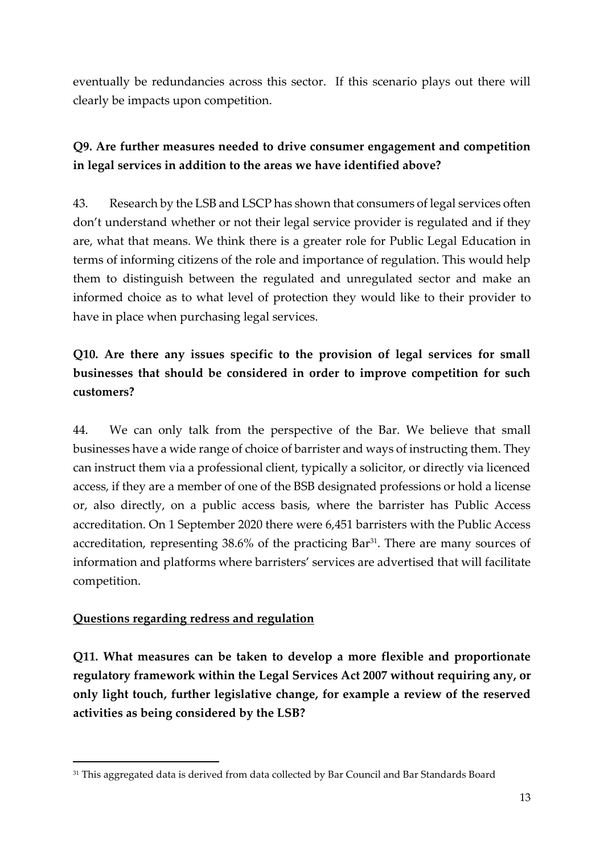eventually be redundancies across this sector. If this scenario plays out there will clearly be impacts upon competition.

# **Q9. Are further measures needed to drive consumer engagement and competition in legal services in addition to the areas we have identified above?**

43. Research by the LSB and LSCP has shown that consumers of legal services often don't understand whether or not their legal service provider is regulated and if they are, what that means. We think there is a greater role for Public Legal Education in terms of informing citizens of the role and importance of regulation. This would help them to distinguish between the regulated and unregulated sector and make an informed choice as to what level of protection they would like to their provider to have in place when purchasing legal services.

# **Q10. Are there any issues specific to the provision of legal services for small businesses that should be considered in order to improve competition for such customers?**

44. We can only talk from the perspective of the Bar. We believe that small businesses have a wide range of choice of barrister and ways of instructing them. They can instruct them via a professional client, typically a solicitor, or directly via licenced access, if they are a member of one of the BSB designated professions or hold a license or, also directly, on a public access basis, where the barrister has Public Access accreditation. On 1 September 2020 there were 6,451 barristers with the Public Access accreditation, representing 38.6% of the practicing Bar<sup>31</sup>. There are many sources of information and platforms where barristers' services are advertised that will facilitate competition.

### **Questions regarding redress and regulation**

**Q11. What measures can be taken to develop a more flexible and proportionate regulatory framework within the Legal Services Act 2007 without requiring any, or only light touch, further legislative change, for example a review of the reserved activities as being considered by the LSB?** 

<sup>&</sup>lt;sup>31</sup> This aggregated data is derived from data collected by Bar Council and Bar Standards Board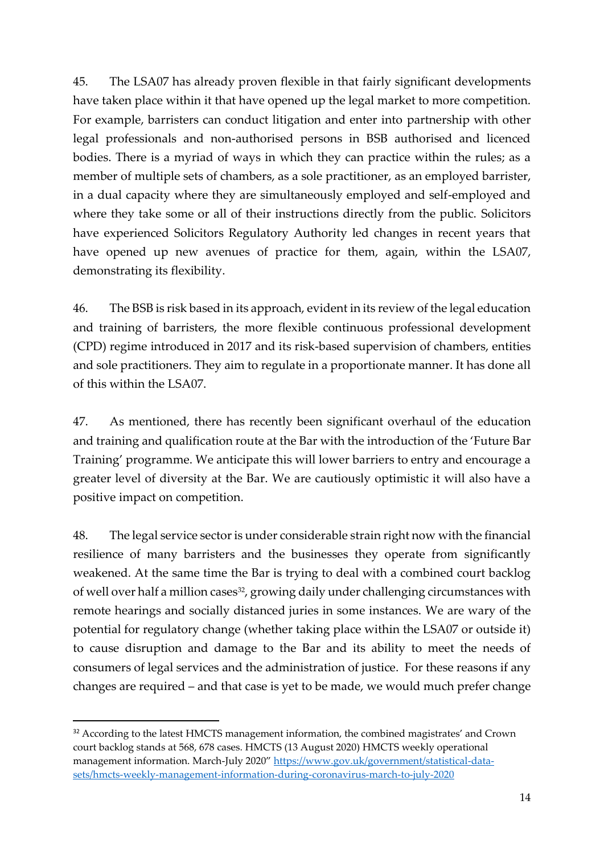45. The LSA07 has already proven flexible in that fairly significant developments have taken place within it that have opened up the legal market to more competition. For example, barristers can conduct litigation and enter into partnership with other legal professionals and non-authorised persons in BSB authorised and licenced bodies. There is a myriad of ways in which they can practice within the rules; as a member of multiple sets of chambers, as a sole practitioner, as an employed barrister, in a dual capacity where they are simultaneously employed and self-employed and where they take some or all of their instructions directly from the public. Solicitors have experienced Solicitors Regulatory Authority led changes in recent years that have opened up new avenues of practice for them, again, within the LSA07, demonstrating its flexibility.

46. The BSB is risk based in its approach, evident in its review of the legal education and training of barristers, the more flexible continuous professional development (CPD) regime introduced in 2017 and its risk-based supervision of chambers, entities and sole practitioners. They aim to regulate in a proportionate manner. It has done all of this within the LSA07.

47. As mentioned, there has recently been significant overhaul of the education and training and qualification route at the Bar with the introduction of the 'Future Bar Training' programme. We anticipate this will lower barriers to entry and encourage a greater level of diversity at the Bar. We are cautiously optimistic it will also have a positive impact on competition.

48. The legal service sector is under considerable strain right now with the financial resilience of many barristers and the businesses they operate from significantly weakened. At the same time the Bar is trying to deal with a combined court backlog of well over half a million cases<sup>32</sup>, growing daily under challenging circumstances with remote hearings and socially distanced juries in some instances. We are wary of the potential for regulatory change (whether taking place within the LSA07 or outside it) to cause disruption and damage to the Bar and its ability to meet the needs of consumers of legal services and the administration of justice. For these reasons if any changes are required – and that case is yet to be made, we would much prefer change

<sup>&</sup>lt;sup>32</sup> According to the latest HMCTS management information, the combined magistrates' and Crown court backlog stands at 568, 678 cases. HMCTS (13 August 2020) HMCTS weekly operational management information. March-July 2020" [https://www.gov.uk/government/statistical-data](https://www.gov.uk/government/statistical-data-sets/hmcts-weekly-management-information-during-coronavirus-march-to-july-2020)[sets/hmcts-weekly-management-information-during-coronavirus-march-to-july-2020](https://www.gov.uk/government/statistical-data-sets/hmcts-weekly-management-information-during-coronavirus-march-to-july-2020)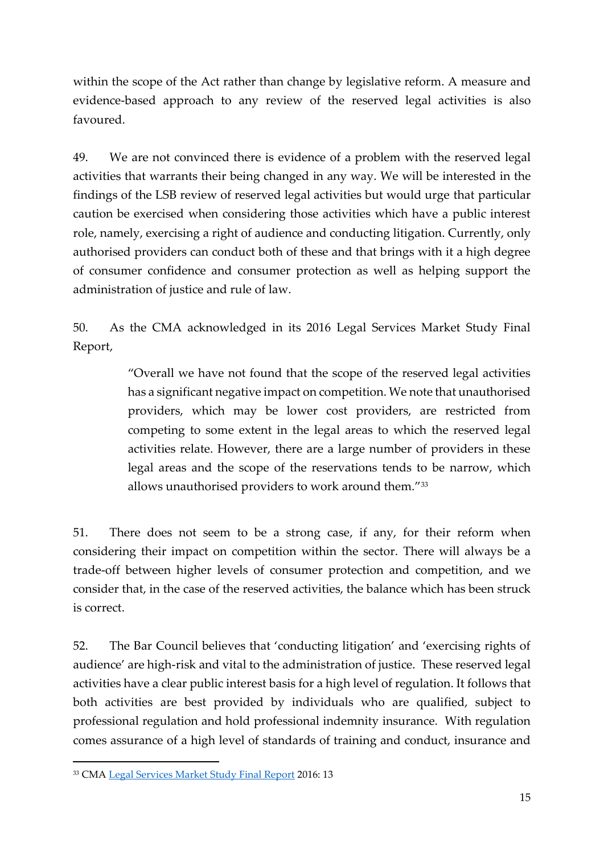within the scope of the Act rather than change by legislative reform. A measure and evidence-based approach to any review of the reserved legal activities is also favoured.

49. We are not convinced there is evidence of a problem with the reserved legal activities that warrants their being changed in any way. We will be interested in the findings of the LSB review of reserved legal activities but would urge that particular caution be exercised when considering those activities which have a public interest role, namely, exercising a right of audience and conducting litigation. Currently, only authorised providers can conduct both of these and that brings with it a high degree of consumer confidence and consumer protection as well as helping support the administration of justice and rule of law.

50. As the CMA acknowledged in its 2016 Legal Services Market Study Final Report,

> "Overall we have not found that the scope of the reserved legal activities has a significant negative impact on competition. We note that unauthorised providers, which may be lower cost providers, are restricted from competing to some extent in the legal areas to which the reserved legal activities relate. However, there are a large number of providers in these legal areas and the scope of the reservations tends to be narrow, which allows unauthorised providers to work around them."<sup>33</sup>

51. There does not seem to be a strong case, if any, for their reform when considering their impact on competition within the sector. There will always be a trade-off between higher levels of consumer protection and competition, and we consider that, in the case of the reserved activities, the balance which has been struck is correct.

52. The Bar Council believes that 'conducting litigation' and 'exercising rights of audience' are high-risk and vital to the administration of justice. These reserved legal activities have a clear public interest basis for a high level of regulation. It follows that both activities are best provided by individuals who are qualified, subject to professional regulation and hold professional indemnity insurance. With regulation comes assurance of a high level of standards of training and conduct, insurance and

<sup>33</sup> CMA [Legal Services Market Study Final Report](https://assets.publishing.service.gov.uk/media/5887374d40f0b6593700001a/legal-services-market-study-final-report.pdf) 2016: 13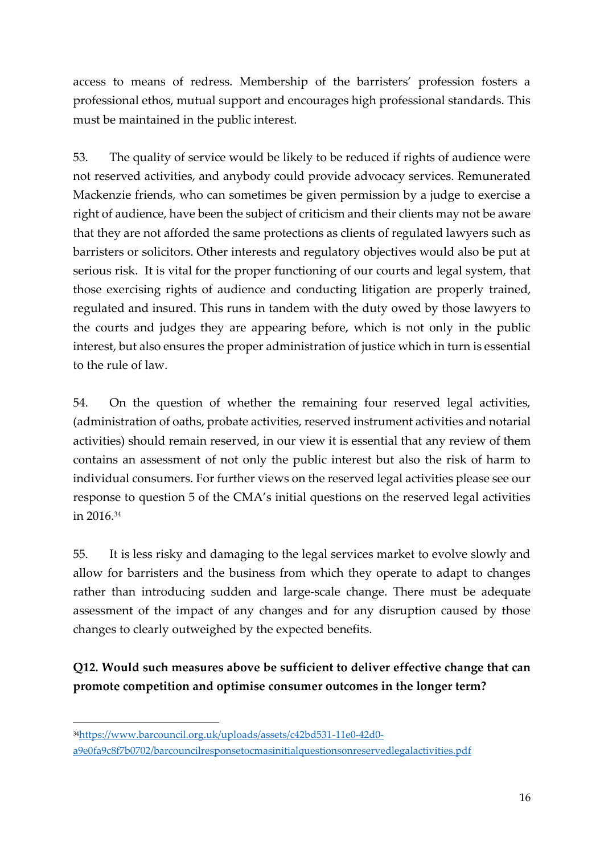access to means of redress. Membership of the barristers' profession fosters a professional ethos, mutual support and encourages high professional standards. This must be maintained in the public interest.

53. The quality of service would be likely to be reduced if rights of audience were not reserved activities, and anybody could provide advocacy services. Remunerated Mackenzie friends, who can sometimes be given permission by a judge to exercise a right of audience, have been the subject of criticism and their clients may not be aware that they are not afforded the same protections as clients of regulated lawyers such as barristers or solicitors. Other interests and regulatory objectives would also be put at serious risk. It is vital for the proper functioning of our courts and legal system, that those exercising rights of audience and conducting litigation are properly trained, regulated and insured. This runs in tandem with the duty owed by those lawyers to the courts and judges they are appearing before, which is not only in the public interest, but also ensures the proper administration of justice which in turn is essential to the rule of law.

54. On the question of whether the remaining four reserved legal activities, (administration of oaths, probate activities, reserved instrument activities and notarial activities) should remain reserved, in our view it is essential that any review of them contains an assessment of not only the public interest but also the risk of harm to individual consumers. For further views on the reserved legal activities please see our response to question 5 of the CMA's initial questions on the reserved legal activities in 2016.<sup>34</sup>

55. It is less risky and damaging to the legal services market to evolve slowly and allow for barristers and the business from which they operate to adapt to changes rather than introducing sudden and large-scale change. There must be adequate assessment of the impact of any changes and for any disruption caused by those changes to clearly outweighed by the expected benefits.

**Q12. Would such measures above be sufficient to deliver effective change that can promote competition and optimise consumer outcomes in the longer term?** 

<sup>34</sup>[https://www.barcouncil.org.uk/uploads/assets/c42bd531-11e0-42d0-](https://www.barcouncil.org.uk/uploads/assets/c42bd531-11e0-42d0-a9e0fa9c8f7b0702/barcouncilresponsetocmasinitialquestionsonreservedlegalactivities.pdf)

[a9e0fa9c8f7b0702/barcouncilresponsetocmasinitialquestionsonreservedlegalactivities.pdf](https://www.barcouncil.org.uk/uploads/assets/c42bd531-11e0-42d0-a9e0fa9c8f7b0702/barcouncilresponsetocmasinitialquestionsonreservedlegalactivities.pdf)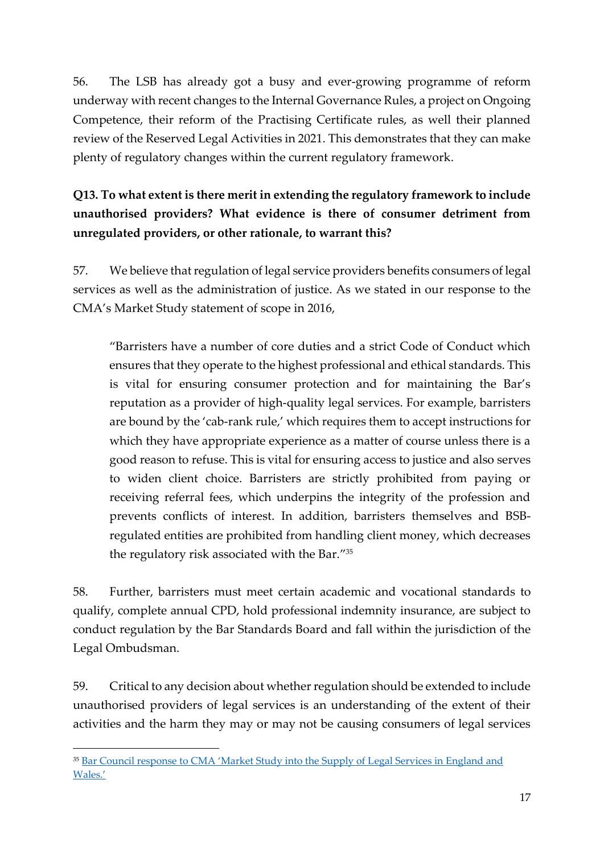56. The LSB has already got a busy and ever-growing programme of reform underway with recent changes to the Internal Governance Rules, a project on Ongoing Competence, their reform of the Practising Certificate rules, as well their planned review of the Reserved Legal Activities in 2021. This demonstrates that they can make plenty of regulatory changes within the current regulatory framework.

**Q13. To what extent is there merit in extending the regulatory framework to include unauthorised providers? What evidence is there of consumer detriment from unregulated providers, or other rationale, to warrant this?** 

57. We believe that regulation of legal service providers benefits consumers of legal services as well as the administration of justice. As we stated in our response to the CMA's Market Study statement of scope in 2016,

"Barristers have a number of core duties and a strict Code of Conduct which ensures that they operate to the highest professional and ethical standards. This is vital for ensuring consumer protection and for maintaining the Bar's reputation as a provider of high-quality legal services. For example, barristers are bound by the 'cab-rank rule,' which requires them to accept instructions for which they have appropriate experience as a matter of course unless there is a good reason to refuse. This is vital for ensuring access to justice and also serves to widen client choice. Barristers are strictly prohibited from paying or receiving referral fees, which underpins the integrity of the profession and prevents conflicts of interest. In addition, barristers themselves and BSBregulated entities are prohibited from handling client money, which decreases the regulatory risk associated with the Bar." 35

58. Further, barristers must meet certain academic and vocational standards to qualify, complete annual CPD, hold professional indemnity insurance, are subject to conduct regulation by the Bar Standards Board and fall within the jurisdiction of the Legal Ombudsman.

59. Critical to any decision about whether regulation should be extended to include unauthorised providers of legal services is an understanding of the extent of their activities and the harm they may or may not be causing consumers of legal services

<sup>&</sup>lt;sup>35</sup> [Bar Council response to CMA 'Market Study into the Supply of L](https://www.barcouncil.org.uk/uploads/assets/5a0b3984-152d-44b6-89e5236d2d6e90d6/legalservicesmarketstudy.pdf)egal Services in England and [Wales.'](https://www.barcouncil.org.uk/uploads/assets/5a0b3984-152d-44b6-89e5236d2d6e90d6/legalservicesmarketstudy.pdf)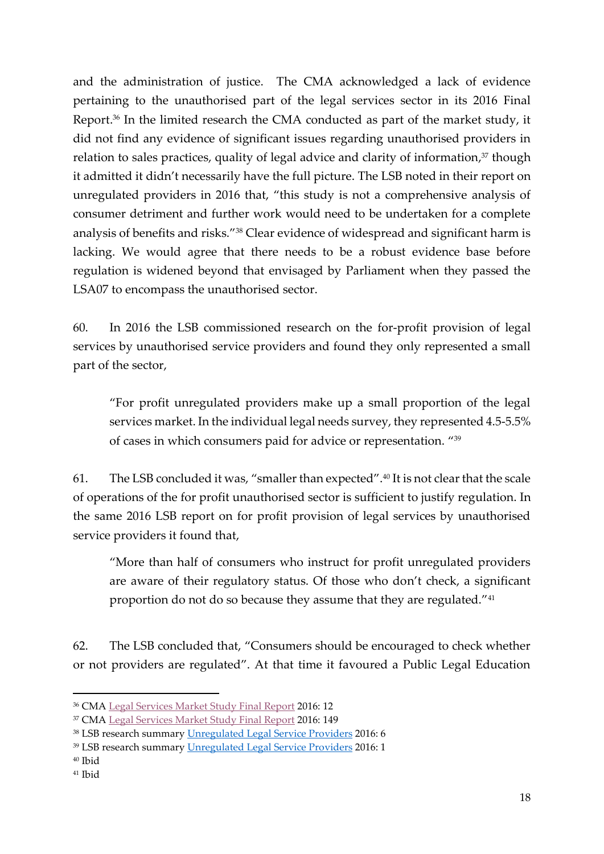and the administration of justice. The CMA acknowledged a lack of evidence pertaining to the unauthorised part of the legal services sector in its 2016 Final Report.<sup>36</sup> In the limited research the CMA conducted as part of the market study, it did not find any evidence of significant issues regarding unauthorised providers in relation to sales practices, quality of legal advice and clarity of information, <sup>37</sup> though it admitted it didn't necessarily have the full picture. The LSB noted in their report on unregulated providers in 2016 that, "this study is not a comprehensive analysis of consumer detriment and further work would need to be undertaken for a complete analysis of benefits and risks."<sup>38</sup> Clear evidence of widespread and significant harm is lacking. We would agree that there needs to be a robust evidence base before regulation is widened beyond that envisaged by Parliament when they passed the LSA07 to encompass the unauthorised sector.

60. In 2016 the LSB commissioned research on the for-profit provision of legal services by unauthorised service providers and found they only represented a small part of the sector,

"For profit unregulated providers make up a small proportion of the legal services market. In the individual legal needs survey, they represented 4.5-5.5% of cases in which consumers paid for advice or representation. "<sup>39</sup>

61. The LSB concluded it was, "smaller than expected".<sup>40</sup> It is not clear that the scale of operations of the for profit unauthorised sector is sufficient to justify regulation. In the same 2016 LSB report on for profit provision of legal services by unauthorised service providers it found that,

"More than half of consumers who instruct for profit unregulated providers are aware of their regulatory status. Of those who don't check, a significant proportion do not do so because they assume that they are regulated."<sup>41</sup>

62. The LSB concluded that, "Consumers should be encouraged to check whether or not providers are regulated". At that time it favoured a Public Legal Education

<sup>40</sup> Ibid

<sup>36</sup> CMA [Legal Services Market Study Final Report](https://assets.publishing.service.gov.uk/media/5887374d40f0b6593700001a/legal-services-market-study-final-report.pdf) 2016: 12

<sup>37</sup> CMA [Legal Services Market Study Final Report](https://assets.publishing.service.gov.uk/media/5887374d40f0b6593700001a/legal-services-market-study-final-report.pdf) 2016: 149

<sup>38</sup> LSB research summary [Unregulated Legal Service Providers](https://www.legalservicesboard.org.uk/research/reports/unregulated-legal-service-providers) 2016: 6

<sup>39</sup> LSB research summary [Unregulated Legal Service Providers](https://www.legalservicesboard.org.uk/research/reports/unregulated-legal-service-providers) 2016: 1

<sup>41</sup> Ibid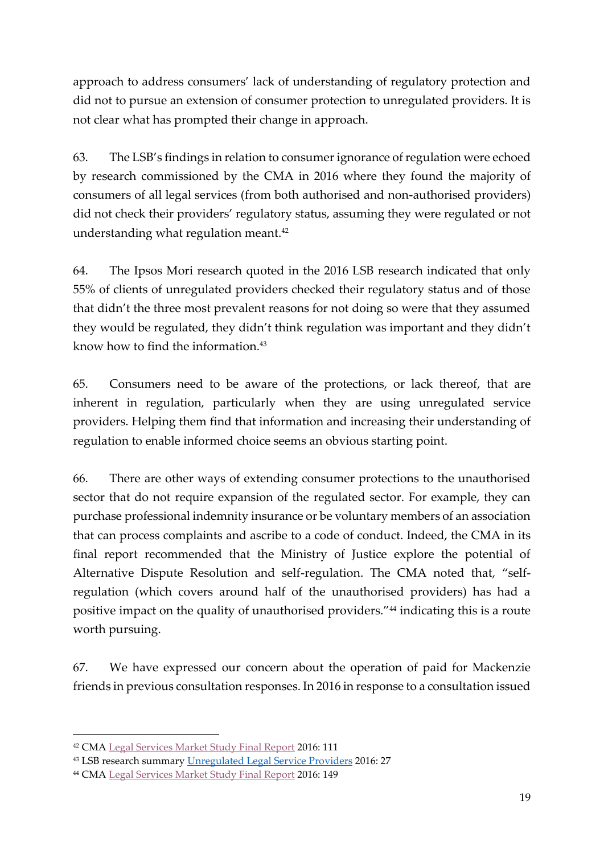approach to address consumers' lack of understanding of regulatory protection and did not to pursue an extension of consumer protection to unregulated providers. It is not clear what has prompted their change in approach.

63. The LSB's findings in relation to consumer ignorance of regulation were echoed by research commissioned by the CMA in 2016 where they found the majority of consumers of all legal services (from both authorised and non-authorised providers) did not check their providers' regulatory status, assuming they were regulated or not understanding what regulation meant.<sup>42</sup>

64. The Ipsos Mori research quoted in the 2016 LSB research indicated that only 55% of clients of unregulated providers checked their regulatory status and of those that didn't the three most prevalent reasons for not doing so were that they assumed they would be regulated, they didn't think regulation was important and they didn't know how to find the information.<sup>43</sup>

65. Consumers need to be aware of the protections, or lack thereof, that are inherent in regulation, particularly when they are using unregulated service providers. Helping them find that information and increasing their understanding of regulation to enable informed choice seems an obvious starting point.

66. There are other ways of extending consumer protections to the unauthorised sector that do not require expansion of the regulated sector. For example, they can purchase professional indemnity insurance or be voluntary members of an association that can process complaints and ascribe to a code of conduct. Indeed, the CMA in its final report recommended that the Ministry of Justice explore the potential of Alternative Dispute Resolution and self-regulation. The CMA noted that, "selfregulation (which covers around half of the unauthorised providers) has had a positive impact on the quality of unauthorised providers."<sup>44</sup> indicating this is a route worth pursuing.

67. We have expressed our concern about the operation of paid for Mackenzie friends in previous consultation responses. In 2016 in response to a consultation issued

<sup>42</sup> CMA [Legal Services Market Study Final Report](https://assets.publishing.service.gov.uk/media/5887374d40f0b6593700001a/legal-services-market-study-final-report.pdf) 2016: 111

<sup>43</sup> LSB research summary [Unregulated Legal Service Providers](https://www.legalservicesboard.org.uk/research/reports/unregulated-legal-service-providers) 2016: 27

<sup>44</sup> CMA [Legal Services Market Study Final Report](https://assets.publishing.service.gov.uk/media/5887374d40f0b6593700001a/legal-services-market-study-final-report.pdf) 2016: 149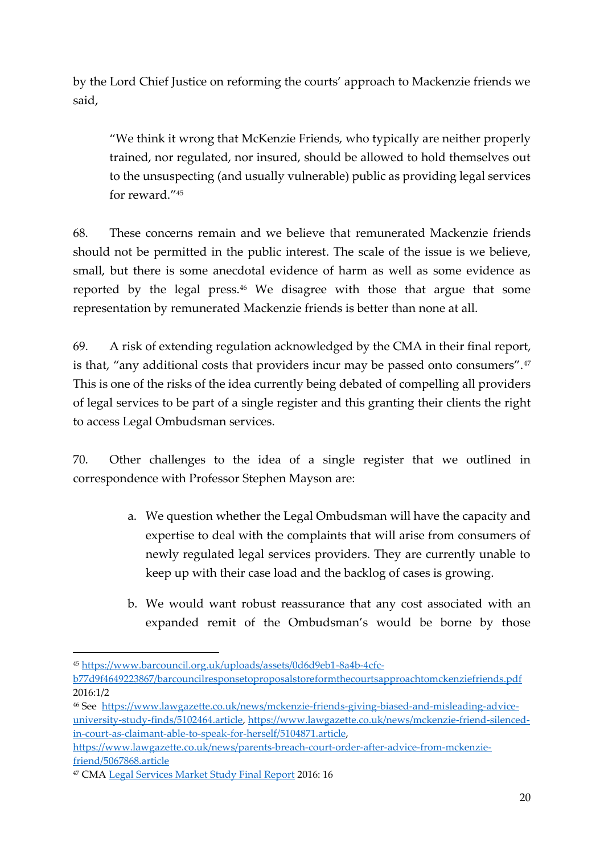by the Lord Chief Justice on reforming the courts' approach to Mackenzie friends we said,

"We think it wrong that McKenzie Friends, who typically are neither properly trained, nor regulated, nor insured, should be allowed to hold themselves out to the unsuspecting (and usually vulnerable) public as providing legal services for reward." 45

68. These concerns remain and we believe that remunerated Mackenzie friends should not be permitted in the public interest. The scale of the issue is we believe, small, but there is some anecdotal evidence of harm as well as some evidence as reported by the legal press.<sup>46</sup> We disagree with those that argue that some representation by remunerated Mackenzie friends is better than none at all.

69. A risk of extending regulation acknowledged by the CMA in their final report, is that, "any additional costs that providers incur may be passed onto consumers".<sup>47</sup> This is one of the risks of the idea currently being debated of compelling all providers of legal services to be part of a single register and this granting their clients the right to access Legal Ombudsman services.

70. Other challenges to the idea of a single register that we outlined in correspondence with Professor Stephen Mayson are:

- a. We question whether the Legal Ombudsman will have the capacity and expertise to deal with the complaints that will arise from consumers of newly regulated legal services providers. They are currently unable to keep up with their case load and the backlog of cases is growing.
- b. We would want robust reassurance that any cost associated with an expanded remit of the Ombudsman's would be borne by those

<sup>45</sup> [https://www.barcouncil.org.uk/uploads/assets/0d6d9eb1-8a4b-4cfc-](https://www.barcouncil.org.uk/uploads/assets/0d6d9eb1-8a4b-4cfc-b77d9f4649223867/barcouncilresponsetoproposalstoreformthecourtsapproachtomckenziefriends.pdf)

[b77d9f4649223867/barcouncilresponsetoproposalstoreformthecourtsapproachtomckenziefriends.pdf](https://www.barcouncil.org.uk/uploads/assets/0d6d9eb1-8a4b-4cfc-b77d9f4649223867/barcouncilresponsetoproposalstoreformthecourtsapproachtomckenziefriends.pdf) 2016:1/2

<sup>46</sup> See [https://www.lawgazette.co.uk/news/mckenzie-friends-giving-biased-and-misleading-advice](https://www.lawgazette.co.uk/news/mckenzie-friends-giving-biased-and-misleading-advice-university-study-finds/5102464.article)[university-study-finds/5102464.article,](https://www.lawgazette.co.uk/news/mckenzie-friends-giving-biased-and-misleading-advice-university-study-finds/5102464.article) [https://www.lawgazette.co.uk/news/mckenzie-friend-silenced](https://www.lawgazette.co.uk/news/mckenzie-friend-silenced-in-court-as-claimant-able-to-speak-for-herself/5104871.article)[in-court-as-claimant-able-to-speak-for-herself/5104871.article,](https://www.lawgazette.co.uk/news/mckenzie-friend-silenced-in-court-as-claimant-able-to-speak-for-herself/5104871.article)

[https://www.lawgazette.co.uk/news/parents-breach-court-order-after-advice-from-mckenzie](https://www.lawgazette.co.uk/news/parents-breach-court-order-after-advice-from-mckenzie-friend/5067868.article)[friend/5067868.article](https://www.lawgazette.co.uk/news/parents-breach-court-order-after-advice-from-mckenzie-friend/5067868.article)

<sup>47</sup> CMA [Legal Services Market Study Final Report](https://assets.publishing.service.gov.uk/media/5887374d40f0b6593700001a/legal-services-market-study-final-report.pdf) 2016: 16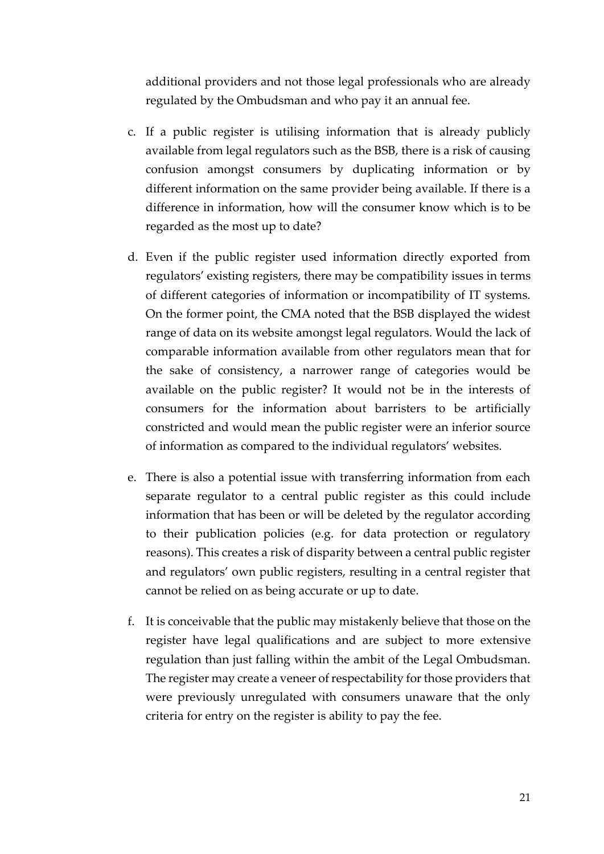additional providers and not those legal professionals who are already regulated by the Ombudsman and who pay it an annual fee.

- c. If a public register is utilising information that is already publicly available from legal regulators such as the BSB, there is a risk of causing confusion amongst consumers by duplicating information or by different information on the same provider being available. If there is a difference in information, how will the consumer know which is to be regarded as the most up to date?
- d. Even if the public register used information directly exported from regulators' existing registers, there may be compatibility issues in terms of different categories of information or incompatibility of IT systems. On the former point, the CMA noted that the BSB displayed the widest range of data on its website amongst legal regulators. Would the lack of comparable information available from other regulators mean that for the sake of consistency, a narrower range of categories would be available on the public register? It would not be in the interests of consumers for the information about barristers to be artificially constricted and would mean the public register were an inferior source of information as compared to the individual regulators' websites.
- e. There is also a potential issue with transferring information from each separate regulator to a central public register as this could include information that has been or will be deleted by the regulator according to their publication policies (e.g. for data protection or regulatory reasons). This creates a risk of disparity between a central public register and regulators' own public registers, resulting in a central register that cannot be relied on as being accurate or up to date.
- f. It is conceivable that the public may mistakenly believe that those on the register have legal qualifications and are subject to more extensive regulation than just falling within the ambit of the Legal Ombudsman. The register may create a veneer of respectability for those providers that were previously unregulated with consumers unaware that the only criteria for entry on the register is ability to pay the fee.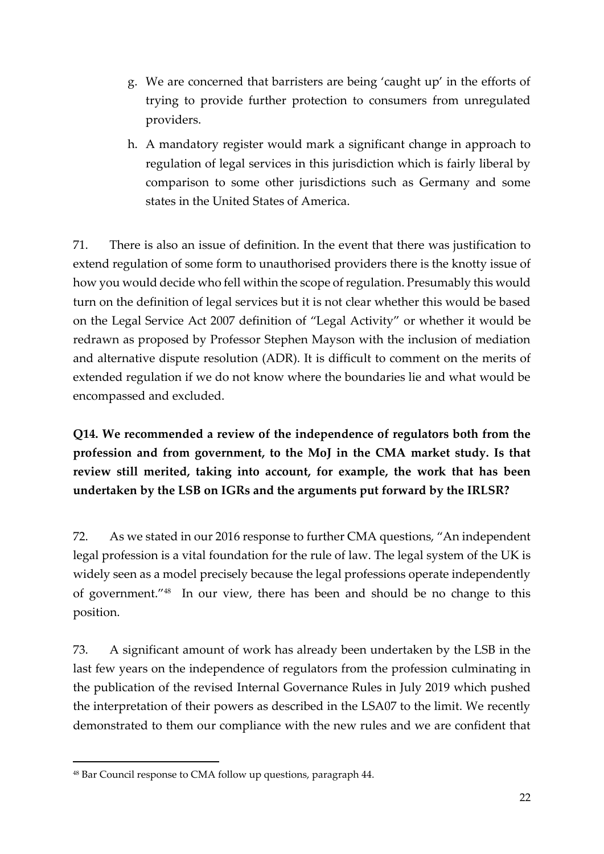- g. We are concerned that barristers are being 'caught up' in the efforts of trying to provide further protection to consumers from unregulated providers.
- h. A mandatory register would mark a significant change in approach to regulation of legal services in this jurisdiction which is fairly liberal by comparison to some other jurisdictions such as Germany and some states in the United States of America.

71. There is also an issue of definition. In the event that there was justification to extend regulation of some form to unauthorised providers there is the knotty issue of how you would decide who fell within the scope of regulation. Presumably this would turn on the definition of legal services but it is not clear whether this would be based on the Legal Service Act 2007 definition of "Legal Activity" or whether it would be redrawn as proposed by Professor Stephen Mayson with the inclusion of mediation and alternative dispute resolution (ADR). It is difficult to comment on the merits of extended regulation if we do not know where the boundaries lie and what would be encompassed and excluded.

**Q14. We recommended a review of the independence of regulators both from the profession and from government, to the MoJ in the CMA market study. Is that review still merited, taking into account, for example, the work that has been undertaken by the LSB on IGRs and the arguments put forward by the IRLSR?** 

72. As we stated in our 2016 response to further CMA questions, "An independent legal profession is a vital foundation for the rule of law. The legal system of the UK is widely seen as a model precisely because the legal professions operate independently of government."<sup>48</sup> In our view, there has been and should be no change to this position.

73. A significant amount of work has already been undertaken by the LSB in the last few years on the independence of regulators from the profession culminating in the publication of the revised Internal Governance Rules in July 2019 which pushed the interpretation of their powers as described in the LSA07 to the limit. We recently demonstrated to them our compliance with the new rules and we are confident that

<sup>48</sup> Bar Council response to CMA follow up questions, paragraph 44.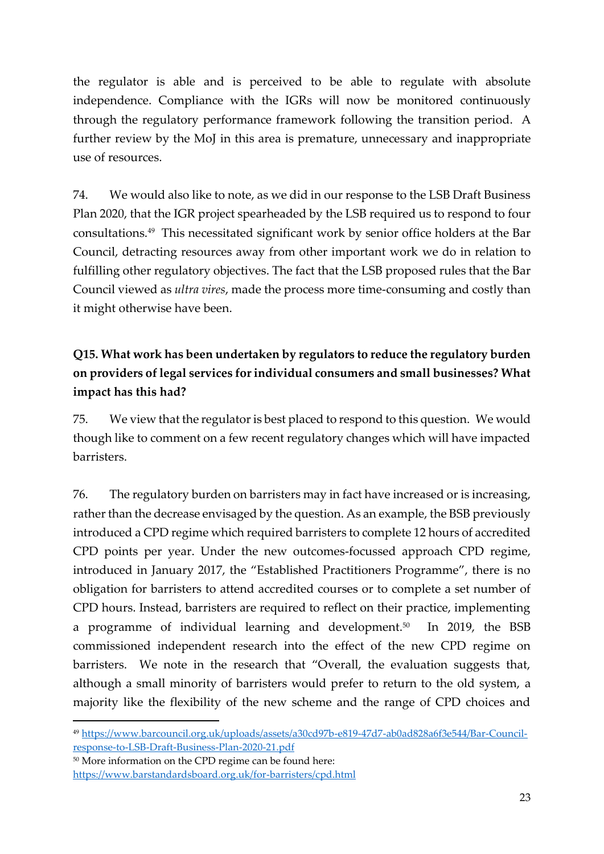the regulator is able and is perceived to be able to regulate with absolute independence. Compliance with the IGRs will now be monitored continuously through the regulatory performance framework following the transition period. A further review by the MoJ in this area is premature, unnecessary and inappropriate use of resources.

74. We would also like to note, as we did in our response to the LSB Draft Business Plan 2020, that the IGR project spearheaded by the LSB required us to respond to four consultations.<sup>49</sup> This necessitated significant work by senior office holders at the Bar Council, detracting resources away from other important work we do in relation to fulfilling other regulatory objectives. The fact that the LSB proposed rules that the Bar Council viewed as *ultra vires*, made the process more time-consuming and costly than it might otherwise have been.

# **Q15. What work has been undertaken by regulators to reduce the regulatory burden on providers of legal services for individual consumers and small businesses? What impact has this had?**

75. We view that the regulator is best placed to respond to this question. We would though like to comment on a few recent regulatory changes which will have impacted barristers.

76. The regulatory burden on barristers may in fact have increased or is increasing, rather than the decrease envisaged by the question. As an example, the BSB previously introduced a CPD regime which required barristers to complete 12 hours of accredited CPD points per year. Under the new outcomes-focussed approach CPD regime, introduced in January 2017, the "Established Practitioners Programme", there is no obligation for barristers to attend accredited courses or to complete a set number of CPD hours. Instead, barristers are required to reflect on their practice, implementing a programme of individual learning and development.<sup>50</sup> In 2019, the BSB commissioned independent research into the effect of the new CPD regime on barristers. We note in the research that "Overall, the evaluation suggests that, although a small minority of barristers would prefer to return to the old system, a majority like the flexibility of the new scheme and the range of CPD choices and

<sup>49</sup> [https://www.barcouncil.org.uk/uploads/assets/a30cd97b-e819-47d7-ab0ad828a6f3e544/Bar-Council](https://www.barcouncil.org.uk/uploads/assets/a30cd97b-e819-47d7-ab0ad828a6f3e544/Bar-Council-response-to-LSB-Draft-Business-Plan-2020-21.pdf)[response-to-LSB-Draft-Business-Plan-2020-21.pdf](https://www.barcouncil.org.uk/uploads/assets/a30cd97b-e819-47d7-ab0ad828a6f3e544/Bar-Council-response-to-LSB-Draft-Business-Plan-2020-21.pdf)

<sup>50</sup> More information on the CPD regime can be found here: <https://www.barstandardsboard.org.uk/for-barristers/cpd.html>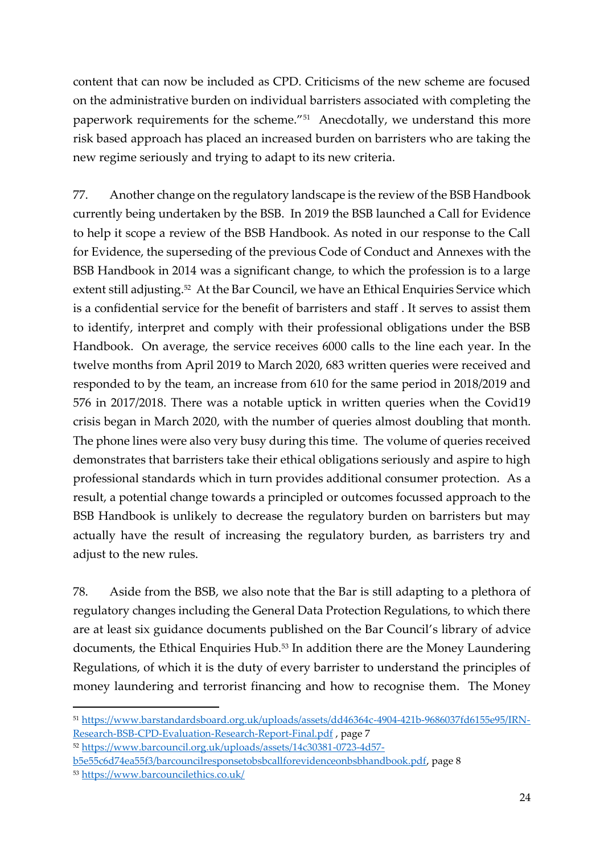content that can now be included as CPD. Criticisms of the new scheme are focused on the administrative burden on individual barristers associated with completing the paperwork requirements for the scheme."<sup>51</sup> Anecdotally, we understand this more risk based approach has placed an increased burden on barristers who are taking the new regime seriously and trying to adapt to its new criteria.

77. Another change on the regulatory landscape is the review of the BSB Handbook currently being undertaken by the BSB. In 2019 the BSB launched a Call for Evidence to help it scope a review of the BSB Handbook. As noted in our response to the Call for Evidence, the superseding of the previous Code of Conduct and Annexes with the BSB Handbook in 2014 was a significant change, to which the profession is to a large extent still adjusting.<sup>52</sup> At the Bar Council, we have an Ethical Enquiries Service which is a confidential service for the benefit of barristers and staff . It serves to assist them to identify, interpret and comply with their professional obligations under the BSB Handbook. On average, the service receives 6000 calls to the line each year. In the twelve months from April 2019 to March 2020, 683 written queries were received and responded to by the team, an increase from 610 for the same period in 2018/2019 and 576 in 2017/2018. There was a notable uptick in written queries when the Covid19 crisis began in March 2020, with the number of queries almost doubling that month. The phone lines were also very busy during this time. The volume of queries received demonstrates that barristers take their ethical obligations seriously and aspire to high professional standards which in turn provides additional consumer protection. As a result, a potential change towards a principled or outcomes focussed approach to the BSB Handbook is unlikely to decrease the regulatory burden on barristers but may actually have the result of increasing the regulatory burden, as barristers try and adjust to the new rules.

78. Aside from the BSB, we also note that the Bar is still adapting to a plethora of regulatory changes including the General Data Protection Regulations, to which there are at least six guidance documents published on the Bar Council's library of advice documents, the Ethical Enquiries Hub.<sup>53</sup> In addition there are the Money Laundering Regulations, of which it is the duty of every barrister to understand the principles of money laundering and terrorist financing and how to recognise them. The [Money](http://www.legislation.gov.uk/uksi/2017/692/contents/made) 

<sup>51</sup> [https://www.barstandardsboard.org.uk/uploads/assets/dd46364c-4904-421b-9686037fd6155e95/IRN-](https://www.barstandardsboard.org.uk/uploads/assets/dd46364c-4904-421b-9686037fd6155e95/IRN-Research-BSB-CPD-Evaluation-Research-Report-Final.pdf)[Research-BSB-CPD-Evaluation-Research-Report-Final.pdf](https://www.barstandardsboard.org.uk/uploads/assets/dd46364c-4904-421b-9686037fd6155e95/IRN-Research-BSB-CPD-Evaluation-Research-Report-Final.pdf) , page 7

<sup>52</sup> [https://www.barcouncil.org.uk/uploads/assets/14c30381-0723-4d57-](https://www.barcouncil.org.uk/uploads/assets/14c30381-0723-4d57-b5e55c6d74ea55f3/barcouncilresponsetobsbcallforevidenceonbsbhandbook.pdf)

[b5e55c6d74ea55f3/barcouncilresponsetobsbcallforevidenceonbsbhandbook.pdf,](https://www.barcouncil.org.uk/uploads/assets/14c30381-0723-4d57-b5e55c6d74ea55f3/barcouncilresponsetobsbcallforevidenceonbsbhandbook.pdf) page 8

<sup>53</sup> <https://www.barcouncilethics.co.uk/>